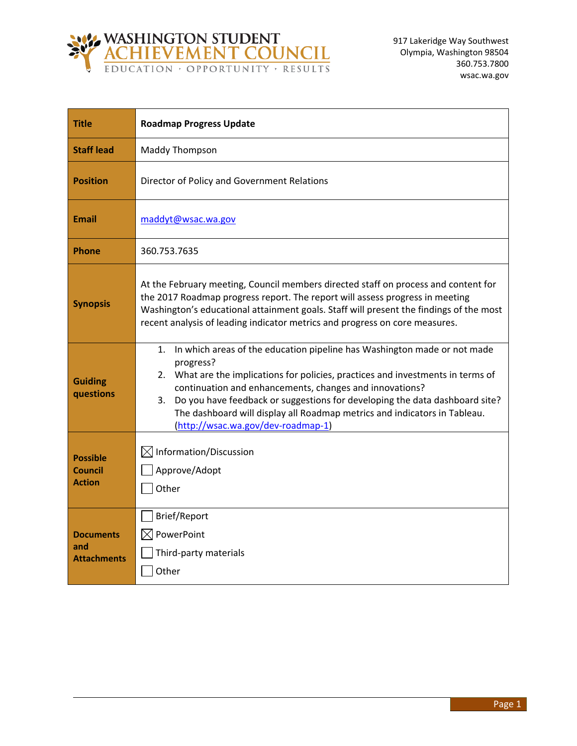

| <b>Title</b>                                       | <b>Roadmap Progress Update</b>                                                                                                                                                                                                                                                                                                                                                                                                                     |  |
|----------------------------------------------------|----------------------------------------------------------------------------------------------------------------------------------------------------------------------------------------------------------------------------------------------------------------------------------------------------------------------------------------------------------------------------------------------------------------------------------------------------|--|
| <b>Staff lead</b>                                  | Maddy Thompson                                                                                                                                                                                                                                                                                                                                                                                                                                     |  |
| <b>Position</b>                                    | Director of Policy and Government Relations                                                                                                                                                                                                                                                                                                                                                                                                        |  |
| <b>Email</b>                                       | maddyt@wsac.wa.gov                                                                                                                                                                                                                                                                                                                                                                                                                                 |  |
| <b>Phone</b>                                       | 360.753.7635                                                                                                                                                                                                                                                                                                                                                                                                                                       |  |
| <b>Synopsis</b>                                    | At the February meeting, Council members directed staff on process and content for<br>the 2017 Roadmap progress report. The report will assess progress in meeting<br>Washington's educational attainment goals. Staff will present the findings of the most<br>recent analysis of leading indicator metrics and progress on core measures.                                                                                                        |  |
| <b>Guiding</b><br>questions                        | In which areas of the education pipeline has Washington made or not made<br>1.<br>progress?<br>2. What are the implications for policies, practices and investments in terms of<br>continuation and enhancements, changes and innovations?<br>Do you have feedback or suggestions for developing the data dashboard site?<br>3.<br>The dashboard will display all Roadmap metrics and indicators in Tableau.<br>(http://wsac.wa.gov/dev-roadmap-1) |  |
| <b>Possible</b><br><b>Council</b><br><b>Action</b> | $\boxtimes$ Information/Discussion<br>Approve/Adopt<br>Other                                                                                                                                                                                                                                                                                                                                                                                       |  |
| <b>Documents</b><br>and<br><b>Attachments</b>      | Brief/Report<br>PowerPoint<br>IXI<br>Third-party materials<br>Other                                                                                                                                                                                                                                                                                                                                                                                |  |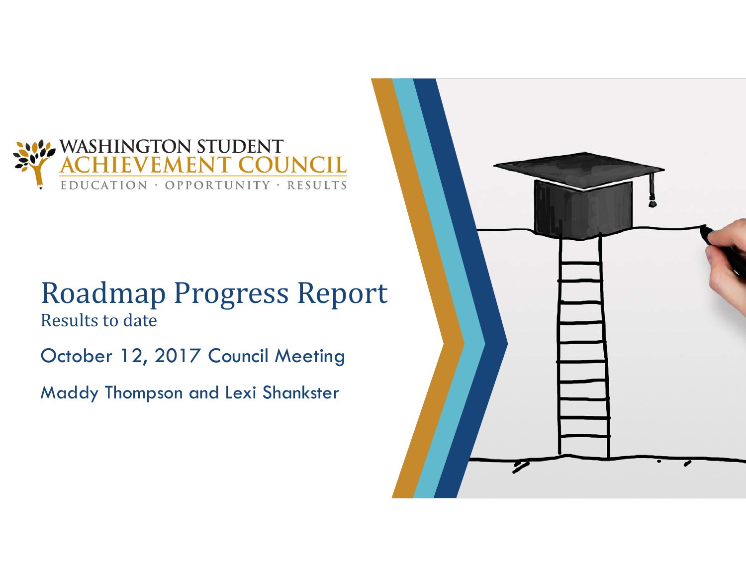

#### Roadmap Progress Report Results to date

October 12, 2017 Council Meeting

Maddy Thompson and Lexi Shankster

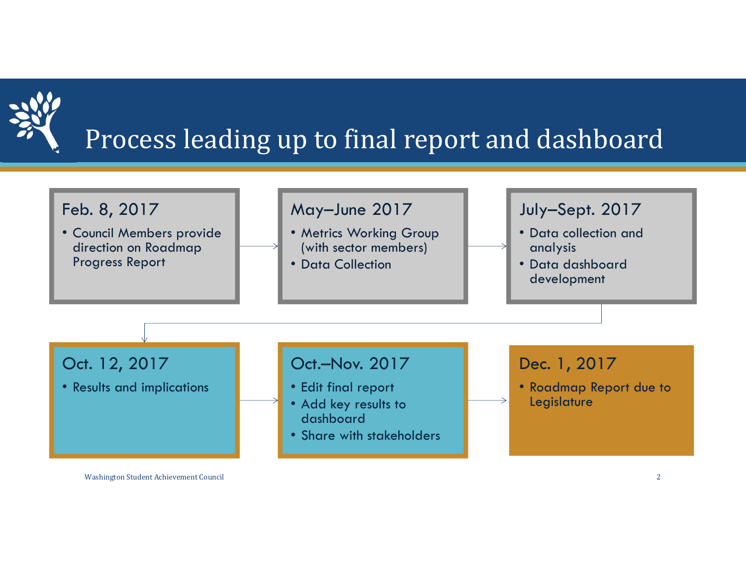

# Process leading up to final report and dashboard



Washington Student Achievement Council 2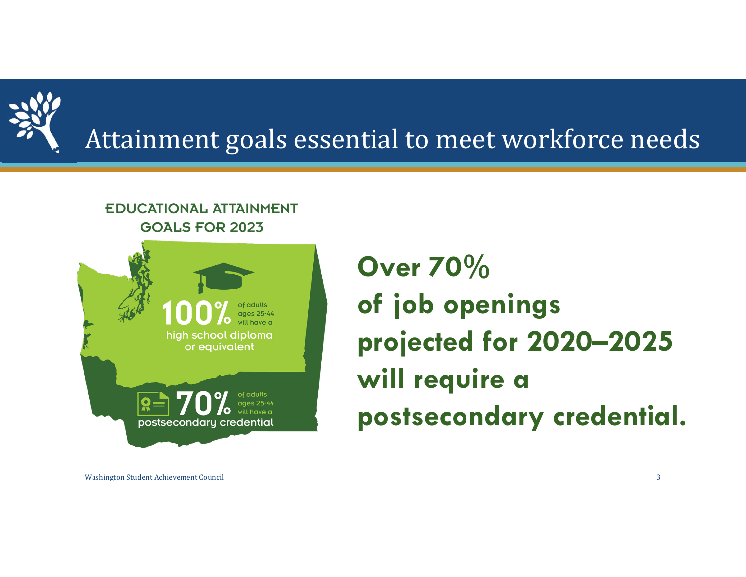

# Attainment goals essential to meet workforce needs

#### **EDUCATIONAL ATTAINMENT GOALS FOR 2023**



**Over 70% of job openings projected for 2020–2025 will require a postsecondary credential.** 

Washington Student Achievement Council 3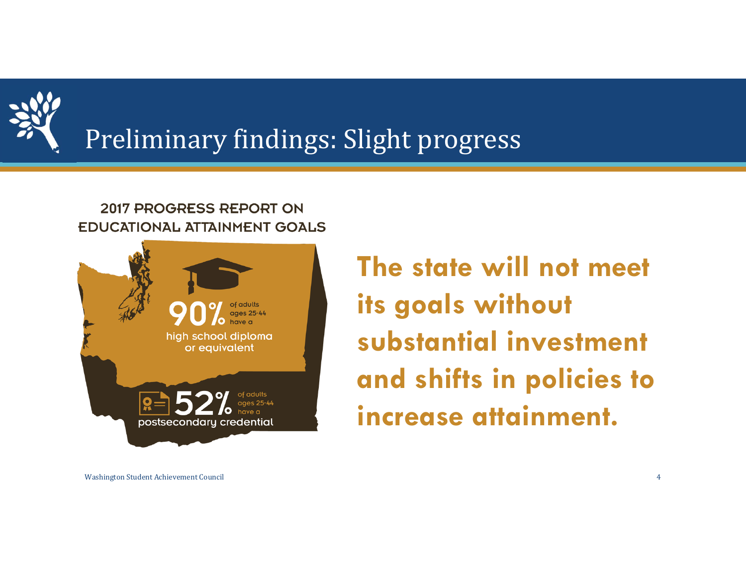

# Preliminary findings: Slight progress

#### 2017 PROGRESS REPORT ON **EDUCATIONAL ATTAINMENT GOALS**



**The state will not meet its goals without substantial investment and shifts in policies to increase attainment.**

Washington Student Achievement Council 4 and 2008 and 2008 and 2008 and 2008 and 2008 and 2008 and 2008 and 2008 and 2008 and 2008 and 2008 and 2008 and 2008 and 2008 and 2008 and 2008 and 2008 and 2008 and 2008 and 2008 a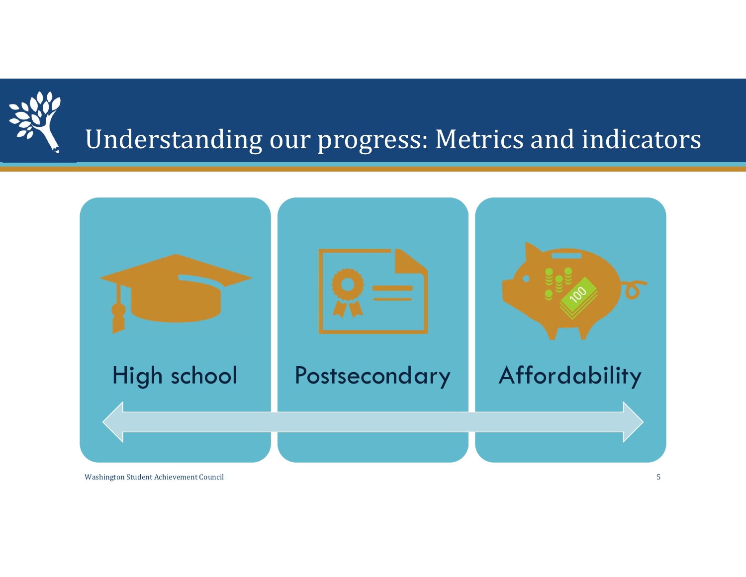

# Understanding our progress: Metrics and indicators



Washington Student Achievement Council 2002 12:00 12:00 12:00 12:00 12:00 12:00 12:00 12:00 12:00 12:00 12:00 12:00 12:00 12:00 12:00 12:00 12:00 12:00 12:00 12:00 12:00 12:00 12:00 12:00 12:00 12:00 12:00 12:00 12:00 12:0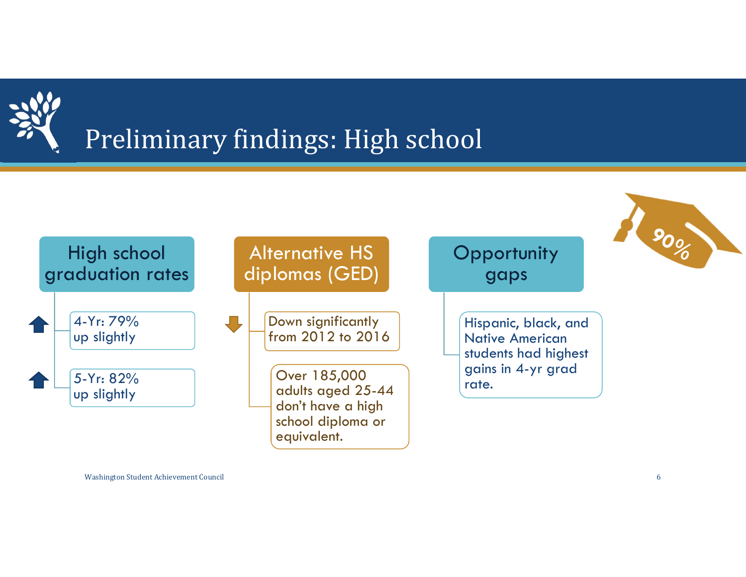

# Preliminary findings: High school

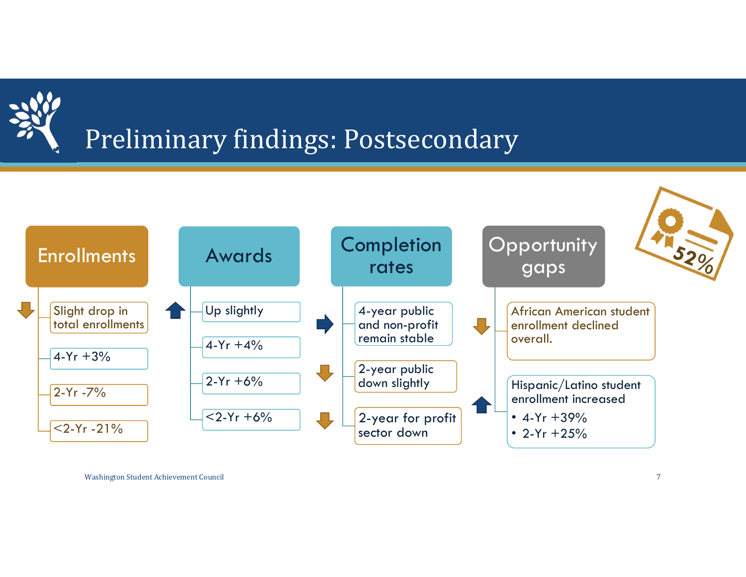

# Preliminary findings: Postsecondary

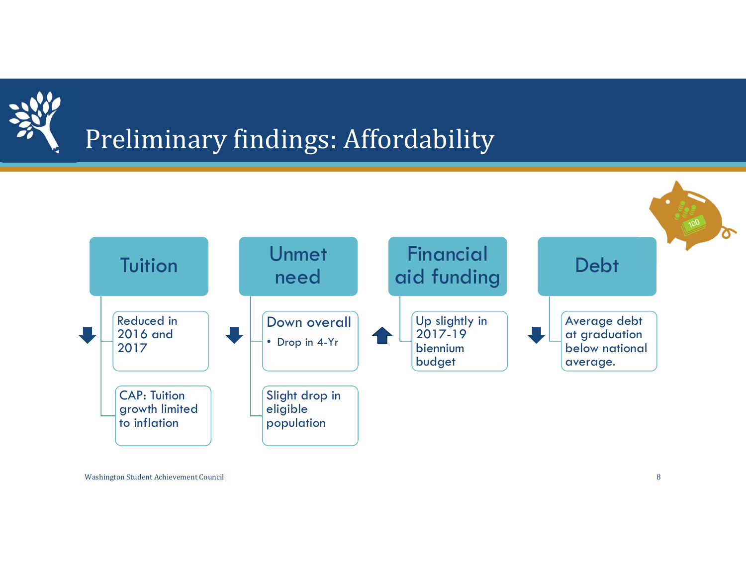

# Preliminary findings: Affordability

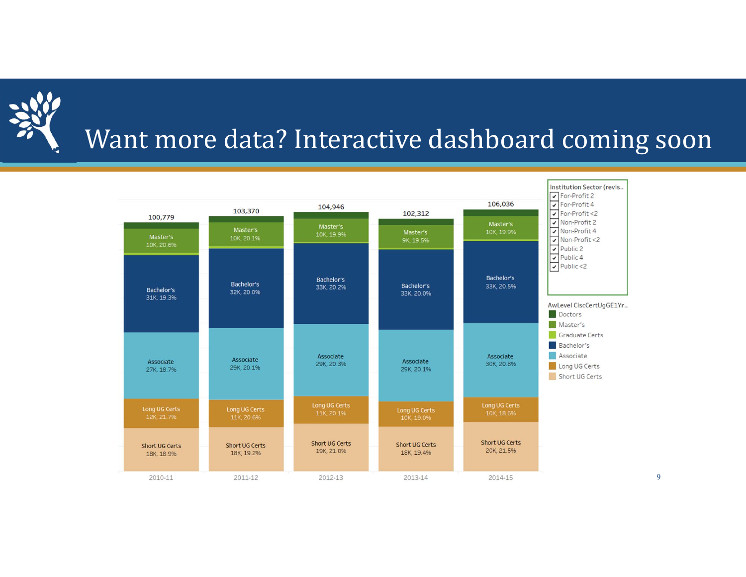

## Want more data? Interactive dashboard coming soon

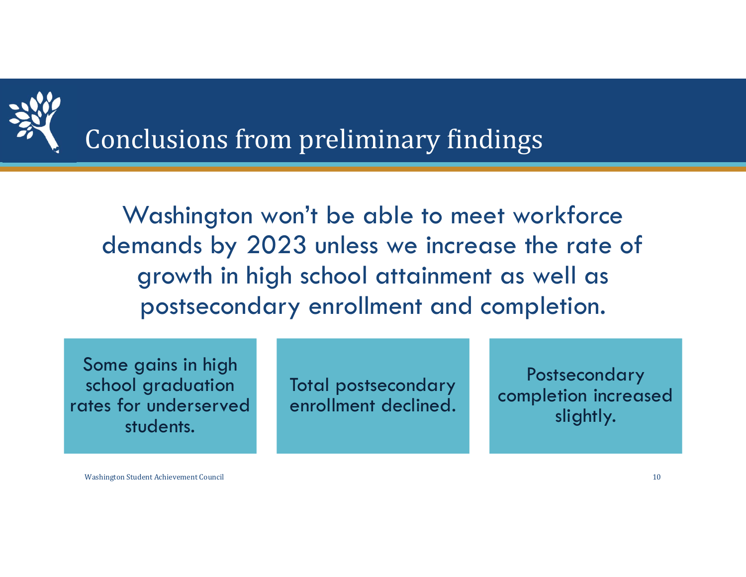

Conclusions from preliminary findings

Washington won't be able to meet workforce demands by 2023 unless we increase the rate of growth in high school attainment as well as postsecondary enrollment and completion.

Some gains in high school graduation rates for underserved students.

Total postsecondary enrollment declined.

**Postsecondary** completion increased slightly.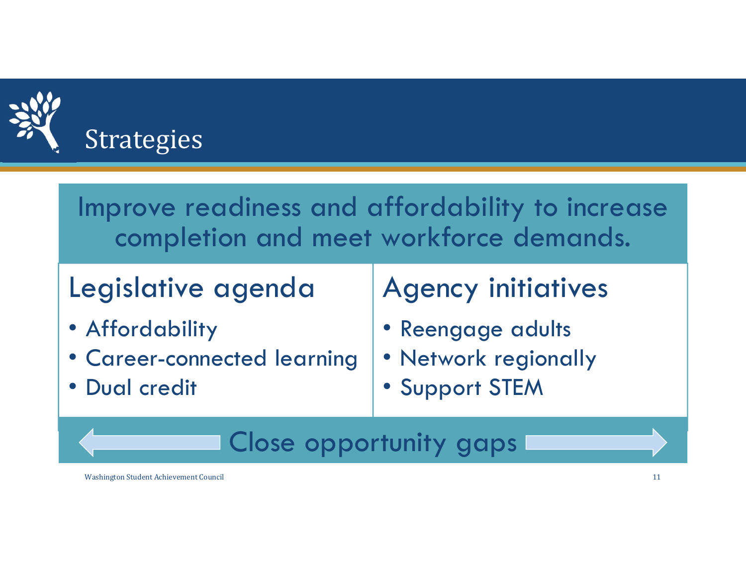

| Improve readiness and affordability to increase |
|-------------------------------------------------|
| completion and meet workforce demands.          |

## Legislative agenda

- Affordability
- Career-connected learning
- Dual credit

## Agency initiatives

- •Reengage adults
- Network regionally
- •Support STEM

### Close opportunity gaps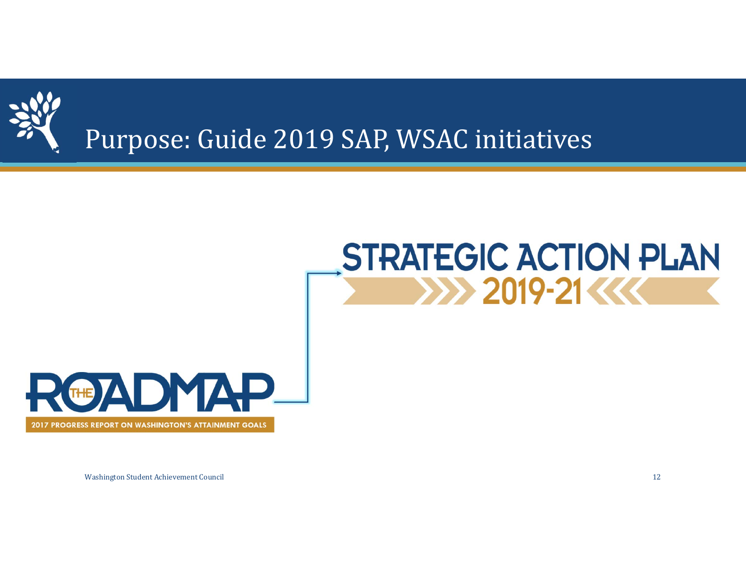

### Purpose: Guide 2019 SAP, WSAC initiatives

# **STRATEGIC ACTION PLAN 2019-21 KK**



Washington Student Achievement Council 2008 12